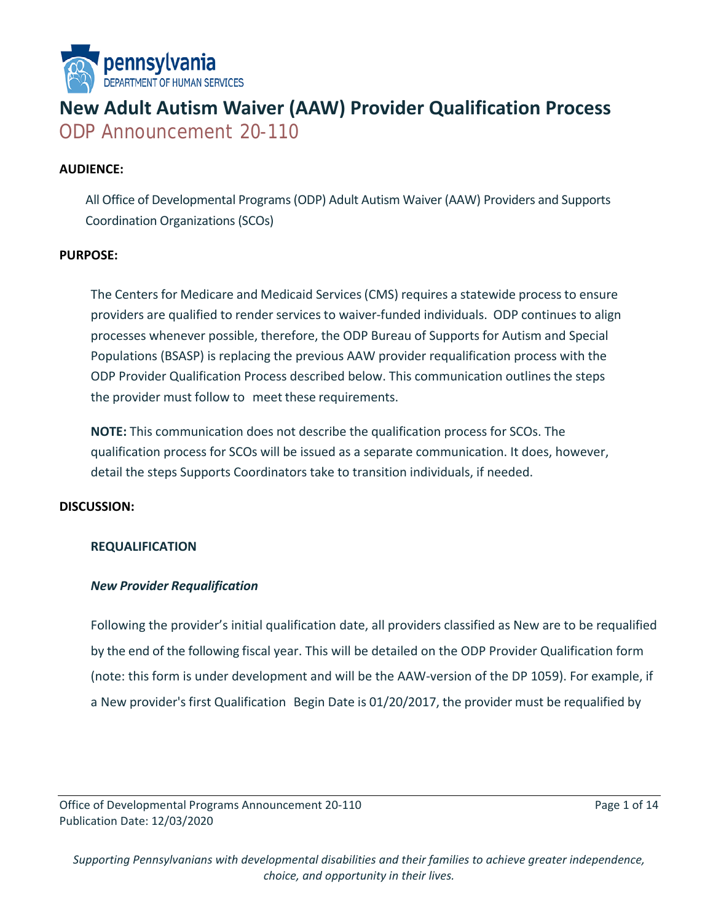

# **New Adult Autism Waiver (AAW) Provider Qualification Process** ODP Announcement 20-110

#### **AUDIENCE:**

All Office of Developmental Programs (ODP) Adult Autism Waiver (AAW) Providers and Supports Coordination Organizations (SCOs)

#### **PURPOSE:**

The Centers for Medicare and Medicaid Services(CMS) requires a statewide processto ensure providers are qualified to render services to waiver-funded individuals. ODP continues to align processes whenever possible, therefore, the ODP Bureau of Supports for Autism and Special Populations (BSASP) is replacing the previous AAW provider requalification process with the ODP Provider Qualification Process described below. This communication outlines the steps the provider must follow to meet these requirements.

**NOTE:** This communication does not describe the qualification process for SCOs. The qualification process for SCOs will be issued as a separate communication. It does, however, detail the steps Supports Coordinators take to transition individuals, if needed.

#### **DISCUSSION:**

#### **REQUALIFICATION**

#### *New Provider Requalification*

Following the provider's initial qualification date, all providers classified as New are to be requalified by the end of the following fiscal year. This will be detailed on the ODP Provider Qualification form (note: this form is under development and will be the AAW-version of the DP 1059). For example, if a New provider's first Qualification Begin Date is 01/20/2017, the provider must be requalified by

Office of Developmental Programs Announcement 20-110 Page 1 of 14 Publication Date: 12/03/2020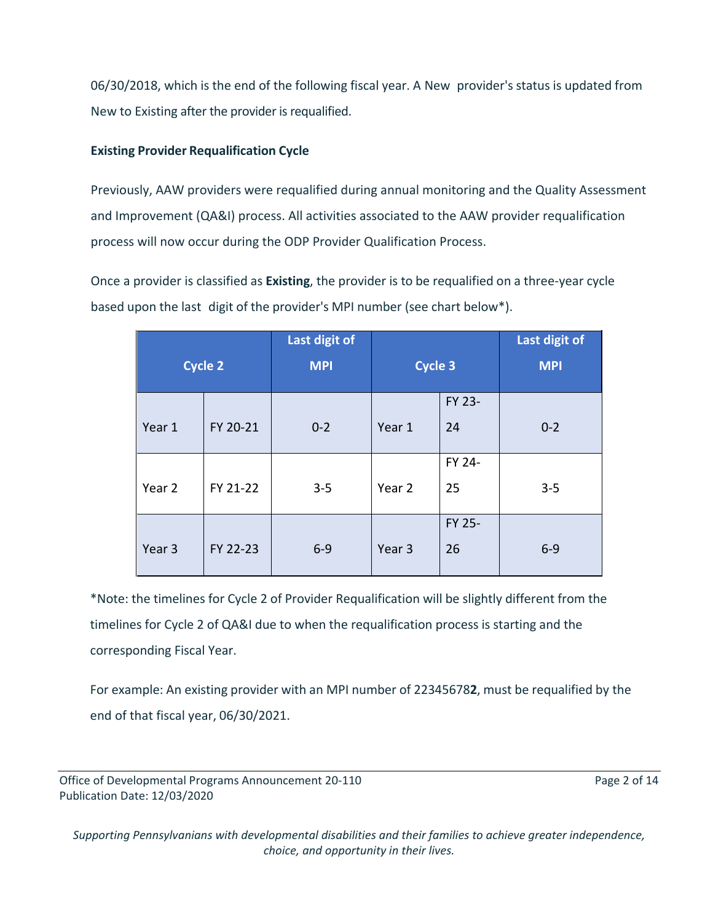06/30/2018, which is the end of the following fiscal year. A New provider's status is updated from New to Existing after the provider is requalified.

# **Existing Provider Requalification Cycle**

Previously, AAW providers were requalified during annual monitoring and the Quality Assessment and Improvement (QA&I) process. All activities associated to the AAW provider requalification process will now occur during the ODP Provider Qualification Process.

Once a provider is classified as **Existing**, the provider is to be requalified on a three-year cycle based upon the last digit of the provider's MPI number (see chart below\*).

|                |          | Last digit of |                   |        | Last digit of |
|----------------|----------|---------------|-------------------|--------|---------------|
| <b>Cycle 2</b> |          | <b>MPI</b>    | <b>Cycle 3</b>    |        | <b>MPI</b>    |
|                |          |               |                   | FY 23- |               |
| Year 1         | FY 20-21 | $0 - 2$       | Year 1            | 24     | $0 - 2$       |
|                |          |               |                   | FY 24- |               |
| Year 2         | FY 21-22 | $3 - 5$       | Year 2            | 25     | $3 - 5$       |
|                |          |               |                   | FY 25- |               |
| Year 3         | FY 22-23 | $6 - 9$       | Year <sub>3</sub> | 26     | $6-9$         |

\*Note: the timelines for Cycle 2 of Provider Requalification will be slightly different from the timelines for Cycle 2 of QA&I due to when the requalification process is starting and the corresponding Fiscal Year.

For example: An existing provider with an MPI number of 22345678**2**, must be requalified by the end of that fiscal year, 06/30/2021.

Office of Developmental Programs Announcement 20-110 **Page 2 of 14** Page 2 of 14 Publication Date: 12/03/2020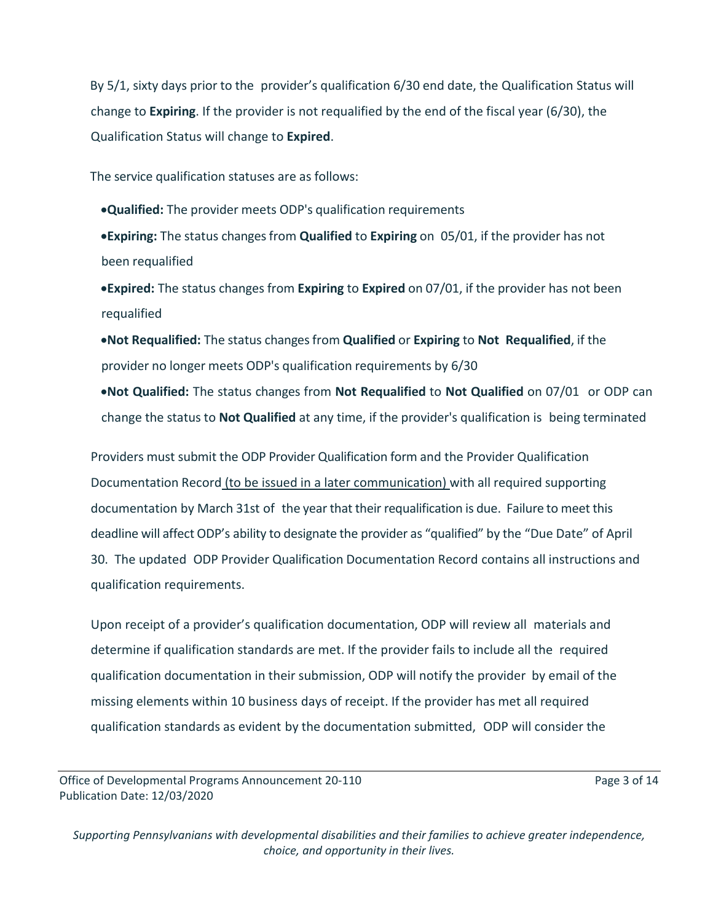By 5/1, sixty days prior to the provider's qualification 6/30 end date, the Qualification Status will change to **Expiring**. If the provider is not requalified by the end of the fiscal year (6/30), the Qualification Status will change to **Expired**.

The service qualification statuses are as follows:

•**Qualified:** The provider meets ODP's qualification requirements

•**Expiring:** The status changes from **Qualified** to **Expiring** on 05/01, if the provider has not been requalified

•**Expired:** The status changes from **Expiring** to **Expired** on 07/01, if the provider has not been requalified

•**Not Requalified:** The status changes from **Qualified** or **Expiring** to **Not Requalified**, if the provider no longer meets ODP's qualification requirements by 6/30

•**Not Qualified:** The status changes from **Not Requalified** to **Not Qualified** on 07/01 or ODP can change the status to **Not Qualified** at any time, if the provider's qualification is being terminated

Providers must submit the ODP Provider Qualification form and the Provider Qualification Documentation Record (to be issued in a later communication) with all required supporting documentation by March 31st of the year that their requalification is due. Failure to meet this deadline will affect ODP's ability to designate the provider as "qualified" by the "Due Date" of April 30. The updated ODP Provider Qualification Documentation Record contains all instructions and qualification requirements.

Upon receipt of a provider's qualification documentation, ODP will review all materials and determine if qualification standards are met. If the provider fails to include all the required qualification documentation in their submission, ODP will notify the provider by email of the missing elements within 10 business days of receipt. If the provider has met all required qualification standards as evident by the documentation submitted, ODP will consider the

Office of Developmental Programs Announcement 20-110 **Page 3 of 14** Page 3 of 14 Publication Date: 12/03/2020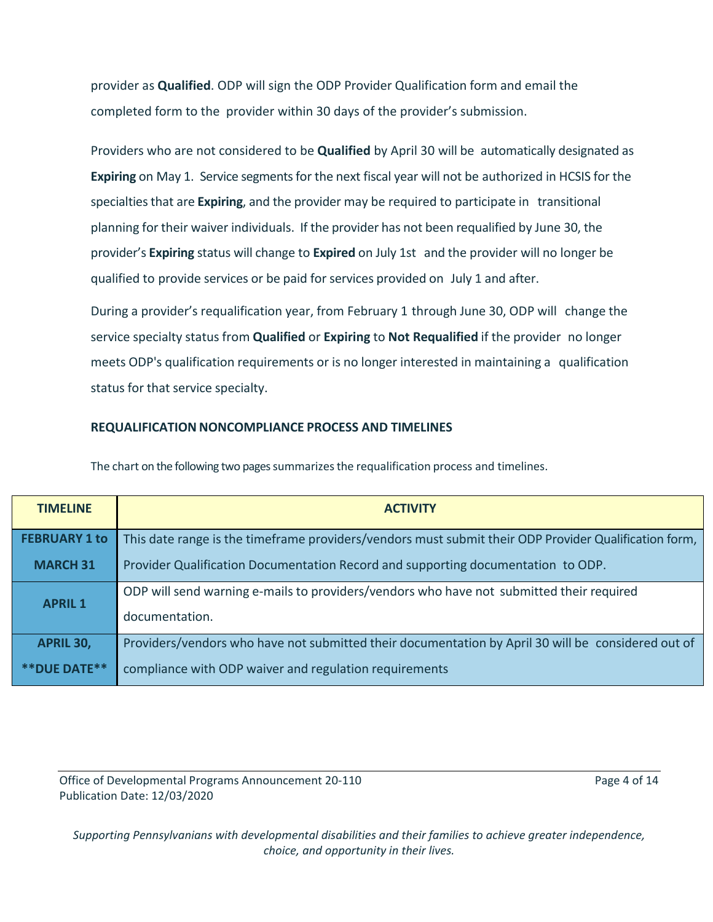provider as **Qualified**. ODP will sign the ODP Provider Qualification form and email the completed form to the provider within 30 days of the provider's submission.

Providers who are not considered to be **Qualified** by April 30 will be automatically designated as **Expiring** on May 1. Service segments for the next fiscal year will not be authorized in HCSIS for the specialtiesthat are **Expiring**, and the provider may be required to participate in transitional planning for their waiver individuals. If the provider has not been requalified by June 30, the provider's **Expiring** status will change to **Expired** on July 1st and the provider will no longer be qualified to provide services or be paid for services provided on July 1 and after.

During a provider's requalification year, from February 1 through June 30, ODP will change the service specialty status from **Qualified** or **Expiring** to **Not Requalified** if the provider no longer meets ODP's qualification requirements or is no longer interested in maintaining a qualification status for that service specialty.

#### **REQUALIFICATION NONCOMPLIANCE PROCESS AND TIMELINES**

**TIMELINE ACTIVITY FEBRUARY 1 to MARCH 31** This date range is the timeframe providers/vendors must submit their ODP Provider Qualification form, Provider Qualification Documentation Record and supporting documentation to ODP. **APRIL 1**  ODP will send warning e-mails to providers/vendors who have not submitted their required documentation. **APRIL 30, \*\*DUE DATE\*\*** Providers/vendors who have not submitted their documentation by April 30 will be considered out of compliance with ODP waiver and regulation requirements

The chart on the following two pages summarizes the requalification process and timelines.

Office of Developmental Programs Announcement 20-110 **Page 4 of 14** Page 4 of 14 Publication Date: 12/03/2020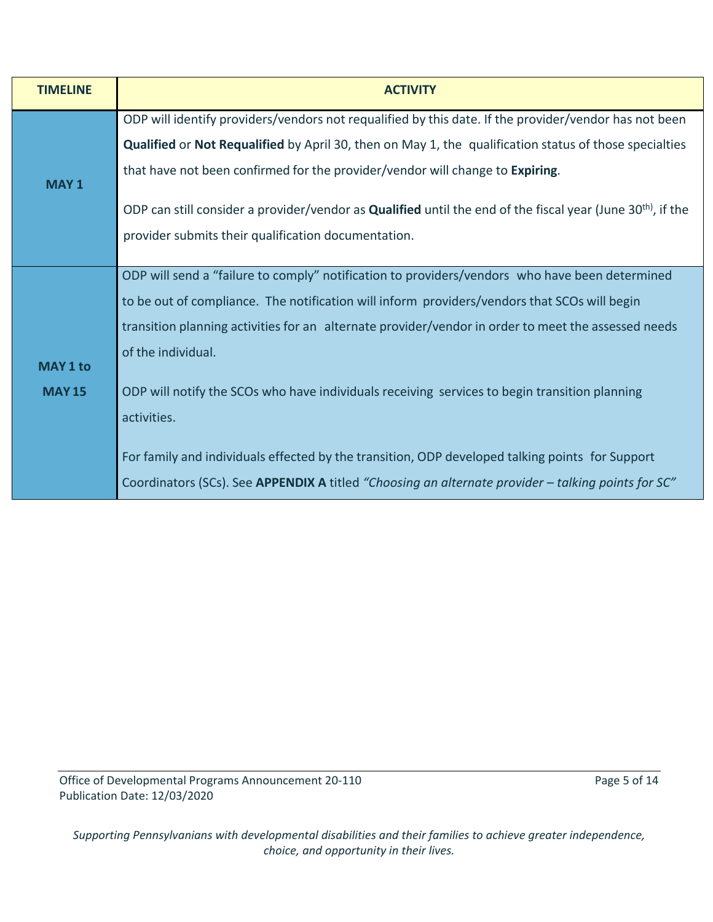| <b>TIMELINE</b> | <b>ACTIVITY</b>                                                                                                                |  |  |  |  |
|-----------------|--------------------------------------------------------------------------------------------------------------------------------|--|--|--|--|
|                 | ODP will identify providers/vendors not requalified by this date. If the provider/vendor has not been                          |  |  |  |  |
| <b>MAY1</b>     | <b>Qualified or Not Requalified</b> by April 30, then on May 1, the qualification status of those specialties                  |  |  |  |  |
|                 | that have not been confirmed for the provider/vendor will change to Expiring.                                                  |  |  |  |  |
|                 | ODP can still consider a provider/vendor as <b>Qualified</b> until the end of the fiscal year (June 30 <sup>th)</sup> , if the |  |  |  |  |
|                 | provider submits their qualification documentation.                                                                            |  |  |  |  |
|                 | ODP will send a "failure to comply" notification to providers/vendors who have been determined                                 |  |  |  |  |
|                 |                                                                                                                                |  |  |  |  |
|                 | to be out of compliance. The notification will inform providers/vendors that SCOs will begin                                   |  |  |  |  |
|                 | transition planning activities for an alternate provider/vendor in order to meet the assessed needs                            |  |  |  |  |
|                 | of the individual.                                                                                                             |  |  |  |  |
| <b>MAY 1 to</b> |                                                                                                                                |  |  |  |  |
| <b>MAY 15</b>   | ODP will notify the SCOs who have individuals receiving services to begin transition planning                                  |  |  |  |  |
|                 | activities.                                                                                                                    |  |  |  |  |
|                 |                                                                                                                                |  |  |  |  |
|                 | For family and individuals effected by the transition, ODP developed talking points for Support                                |  |  |  |  |
|                 | Coordinators (SCs). See APPENDIX A titled "Choosing an alternate provider - talking points for SC"                             |  |  |  |  |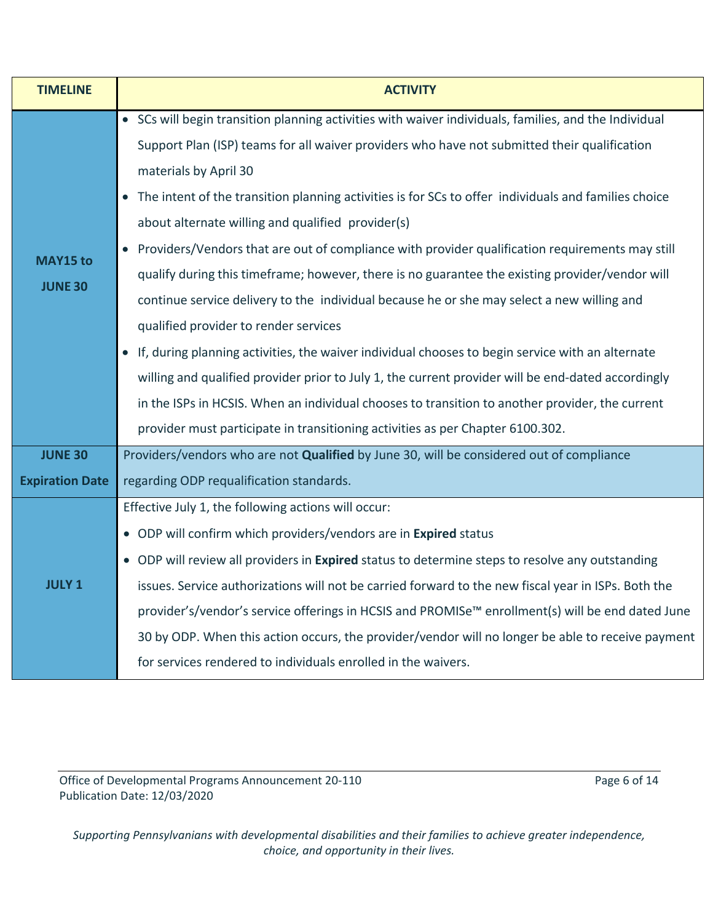| <b>TIMELINE</b>                   | <b>ACTIVITY</b>                                                                                              |  |  |  |  |
|-----------------------------------|--------------------------------------------------------------------------------------------------------------|--|--|--|--|
| <b>MAY15 to</b><br><b>JUNE 30</b> | • SCs will begin transition planning activities with waiver individuals, families, and the Individual        |  |  |  |  |
|                                   | Support Plan (ISP) teams for all waiver providers who have not submitted their qualification                 |  |  |  |  |
|                                   | materials by April 30                                                                                        |  |  |  |  |
|                                   | The intent of the transition planning activities is for SCs to offer individuals and families choice         |  |  |  |  |
|                                   | about alternate willing and qualified provider(s)                                                            |  |  |  |  |
|                                   | • Providers/Vendors that are out of compliance with provider qualification requirements may still            |  |  |  |  |
|                                   | qualify during this timeframe; however, there is no guarantee the existing provider/vendor will              |  |  |  |  |
|                                   | continue service delivery to the individual because he or she may select a new willing and                   |  |  |  |  |
|                                   | qualified provider to render services                                                                        |  |  |  |  |
|                                   | • If, during planning activities, the waiver individual chooses to begin service with an alternate           |  |  |  |  |
|                                   | willing and qualified provider prior to July 1, the current provider will be end-dated accordingly           |  |  |  |  |
|                                   | in the ISPs in HCSIS. When an individual chooses to transition to another provider, the current              |  |  |  |  |
|                                   | provider must participate in transitioning activities as per Chapter 6100.302.                               |  |  |  |  |
| <b>JUNE 30</b>                    | Providers/vendors who are not Qualified by June 30, will be considered out of compliance                     |  |  |  |  |
| <b>Expiration Date</b>            | regarding ODP requalification standards.                                                                     |  |  |  |  |
| <b>JULY 1</b>                     | Effective July 1, the following actions will occur:                                                          |  |  |  |  |
|                                   | • ODP will confirm which providers/vendors are in Expired status                                             |  |  |  |  |
|                                   | • ODP will review all providers in Expired status to determine steps to resolve any outstanding              |  |  |  |  |
|                                   | issues. Service authorizations will not be carried forward to the new fiscal year in ISPs. Both the          |  |  |  |  |
|                                   | provider's/vendor's service offerings in HCSIS and PROMISe <sup>™</sup> enrollment(s) will be end dated June |  |  |  |  |
|                                   | 30 by ODP. When this action occurs, the provider/vendor will no longer be able to receive payment            |  |  |  |  |
|                                   | for services rendered to individuals enrolled in the waivers.                                                |  |  |  |  |

Office of Developmental Programs Announcement 20-110 Page 6 of 14 Publication Date: 12/03/2020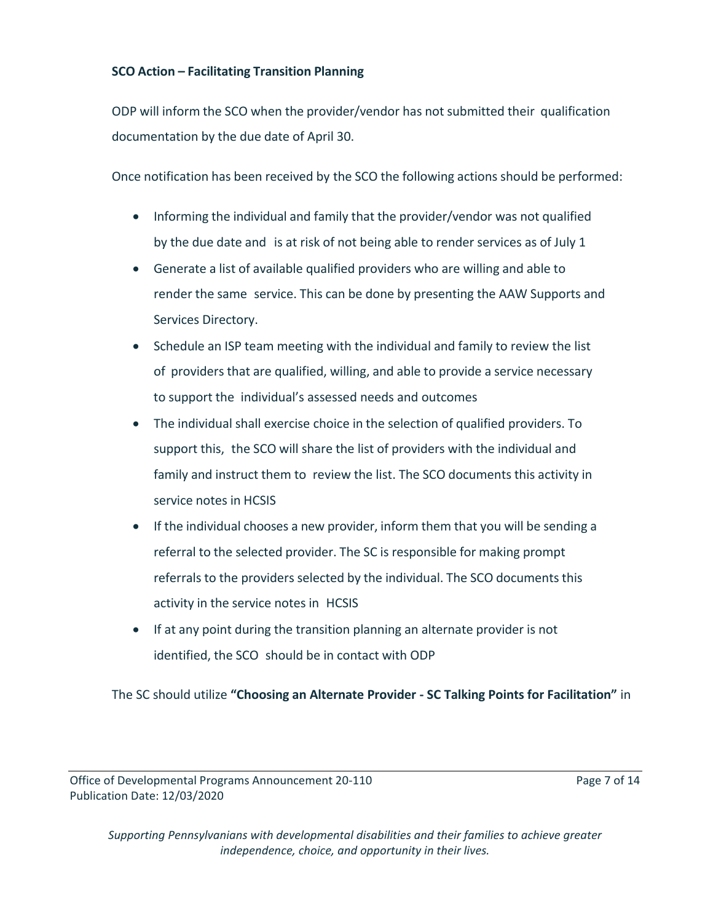# **SCO Action – Facilitating Transition Planning**

ODP will inform the SCO when the provider/vendor has not submitted their qualification documentation by the due date of April 30.

Once notification has been received by the SCO the following actions should be performed:

- Informing the individual and family that the provider/vendor was not qualified by the due date and is at risk of not being able to render services as of July 1
- Generate a list of available qualified providers who are willing and able to render the same service. This can be done by presenting the AAW Supports and Services Directory.
- Schedule an ISP team meeting with the individual and family to review the list of providers that are qualified, willing, and able to provide a service necessary to support the individual's assessed needs and outcomes
- The individual shall exercise choice in the selection of qualified providers. To support this, the SCO will share the list of providers with the individual and family and instruct them to review the list. The SCO documents this activity in service notes in HCSIS
- If the individual chooses a new provider, inform them that you will be sending a referral to the selected provider. The SC is responsible for making prompt referrals to the providers selected by the individual. The SCO documents this activity in the service notes in HCSIS
- If at any point during the transition planning an alternate provider is not identified, the SCO should be in contact with ODP

The SC should utilize **"Choosing an Alternate Provider - SC Talking Points for Facilitation"** in

Office of Developmental Programs Announcement 20-110 Page 7 of 14 Publication Date: 12/03/2020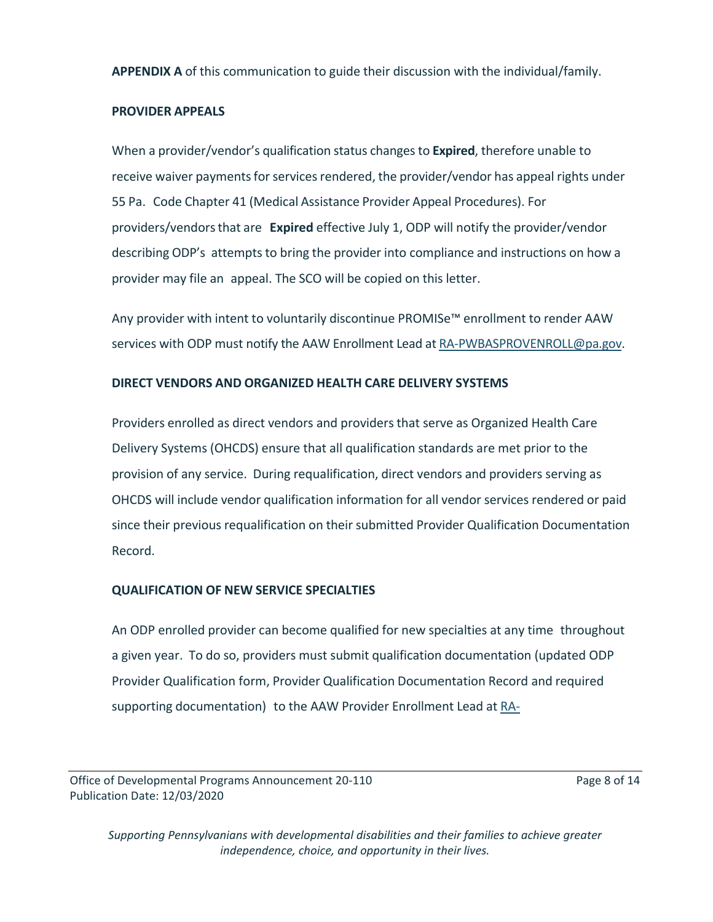**APPENDIX A** of this communication to guide their discussion with the individual/family.

# **PROVIDER APPEALS**

When a provider/vendor's qualification status changesto **Expired**, therefore unable to receive waiver payments for services rendered, the provider/vendor has appeal rights under 55 Pa. Code Chapter 41 (Medical Assistance Provider Appeal Procedures). For providers/vendorsthat are **Expired** effective July 1, ODP will notify the provider/vendor describing ODP's attempts to bring the provider into compliance and instructions on how a provider may file an appeal. The SCO will be copied on this letter.

Any provider with intent to voluntarily discontinue PROMISe™ enrollment to render AAW services with ODP must notify the AAW Enrollment Lead at [RA-PWBASPROVENROLL@pa.gov.](mailto:RA-PWBASPROVENROLL@pa.gov)

# **DIRECT VENDORS AND ORGANIZED HEALTH CARE DELIVERY SYSTEMS**

Providers enrolled as direct vendors and providers that serve as Organized Health Care Delivery Systems (OHCDS) ensure that all qualification standards are met prior to the provision of any service. During requalification, direct vendors and providers serving as OHCDS will include vendor qualification information for all vendor services rendered or paid since their previous requalification on their submitted Provider Qualification Documentation Record.

# **QUALIFICATION OF NEW SERVICE SPECIALTIES**

An ODP enrolled provider can become qualified for new specialties at any time throughout a given year. To do so, providers must submit qualification documentation (updated ODP Provider Qualification form, Provider Qualification Documentation Record and required supporting documentation) to the AAW Provider Enrollment Lead at [RA-](mailto:RA-PWBASPROVENROLL@pa.gov)

Office of Developmental Programs Announcement 20-110 Page 8 of 14 Publication Date: 12/03/2020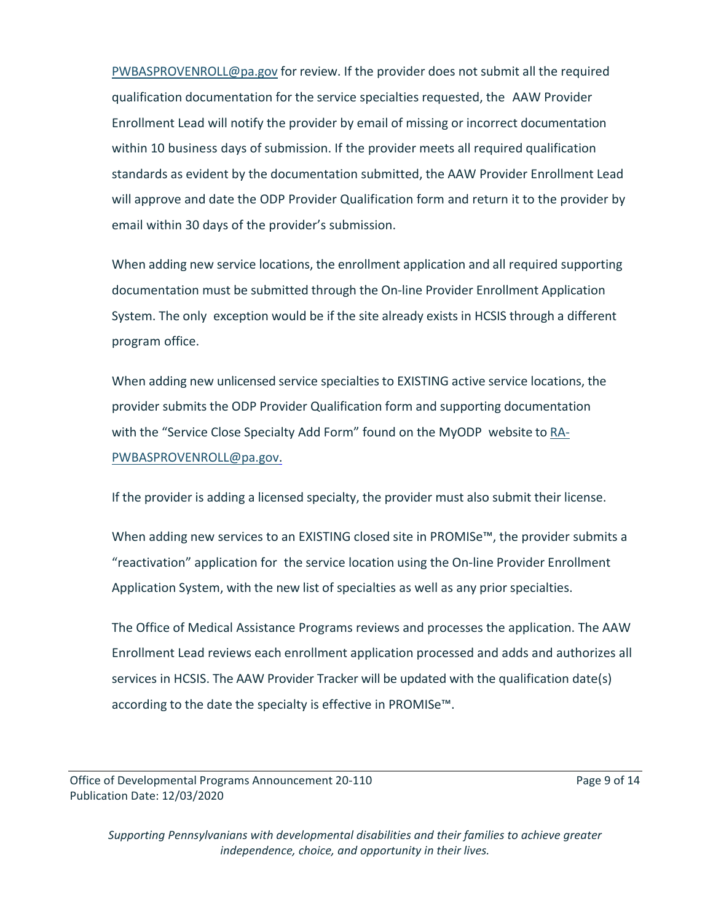[PWBASPROVENROLL@pa.gov](mailto:RA-PWBASPROVENROLL@pa.gov) for review. If the provider does not submit all the required qualification documentation for the service specialties requested, the AAW Provider Enrollment Lead will notify the provider by email of missing or incorrect documentation within 10 business days of submission. If the provider meets all required qualification standards as evident by the documentation submitted, the AAW Provider Enrollment Lead will approve and date the ODP Provider Qualification form and return it to the provider by email within 30 days of the provider's submission.

When adding new service locations, the enrollment application and all required supporting documentation must be submitted through the On-line Provider Enrollment Application System. The only exception would be if the site already exists in HCSIS through a different program office.

When adding new unlicensed service specialties to EXISTING active service locations, the provider submits the ODP Provider Qualification form and supporting documentation with the "Service Close Specialty Add Form" found on the MyODP website to [RA-](mailto:RA-PWBASPROVENROLL@pa.gov)[PWBASPROVENROLL@pa.gov.](mailto:RA-PWBASPROVENROLL@pa.gov)

If the provider is adding a licensed specialty, the provider must also submit their license.

When adding new services to an EXISTING closed site in PROMISe<sup>™</sup>, the provider submits a "reactivation" application for the service location using the On-line Provider Enrollment Application System, with the new list of specialties as well as any prior specialties.

The Office of Medical Assistance Programs reviews and processes the application. The AAW Enrollment Lead reviews each enrollment application processed and adds and authorizes all services in HCSIS. The AAW Provider Tracker will be updated with the qualification date(s) according to the date the specialty is effective in PROMISe™.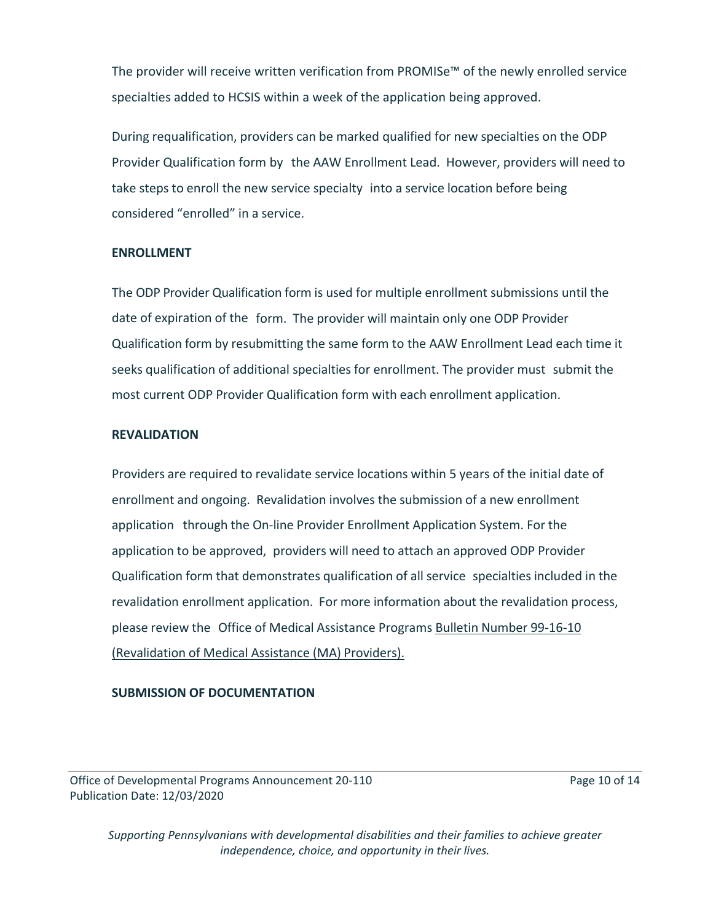The provider will receive written verification from PROMISe™ of the newly enrolled service specialties added to HCSIS within a week of the application being approved.

During requalification, providers can be marked qualified for new specialties on the ODP Provider Qualification form by the AAW Enrollment Lead. However, providers will need to take steps to enroll the new service specialty into a service location before being considered "enrolled" in a service.

#### **ENROLLMENT**

The ODP Provider Qualification form is used for multiple enrollment submissions until the date of expiration of the form. The provider will maintain only one ODP Provider Qualification form by resubmitting the same form to the AAW Enrollment Lead each time it seeks qualification of additional specialties for enrollment. The provider must submit the most current ODP Provider Qualification form with each enrollment application.

#### **REVALIDATION**

Providers are required to revalidate service locations within 5 years of the initial date of enrollment and ongoing. Revalidation involves the submission of a new enrollment application through the On-line Provider Enrollment Application System. For the application to be approved, providers will need to attach an approved ODP Provider Qualification form that demonstrates qualification of all service specialties included in the revalidation enrollment application. For more information about the revalidation process, please review the Office of Medical Assistance Programs Bulletin Number [99-16-10](https://www.dhs.pa.gov/docs/Publications/Documents/FORMS%20AND%20PUBS%20OMAP/c_228794.pdf) [\(Revalidation](https://www.dhs.pa.gov/docs/Publications/Documents/FORMS%20AND%20PUBS%20OMAP/c_228794.pdf) of Medical Assistance (MA) Providers).

#### **SUBMISSION OF DOCUMENTATION**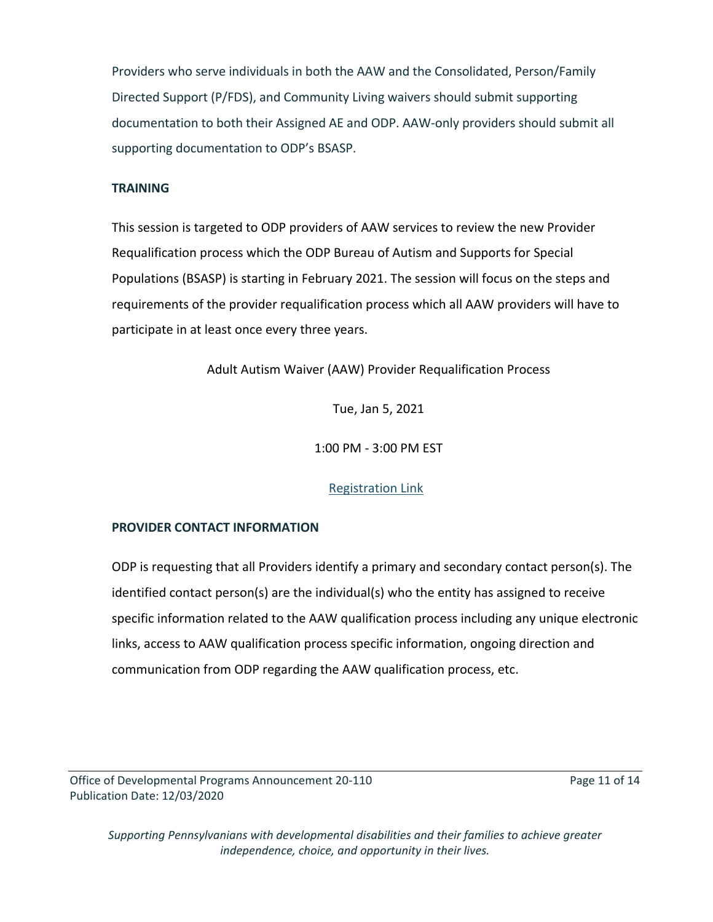Providers who serve individuals in both the AAW and the Consolidated, Person/Family Directed Support (P/FDS), and Community Living waivers should submit supporting documentation to both their Assigned AE and ODP. AAW-only providers should submit all supporting documentation to ODP's BSASP.

#### **TRAINING**

This session is targeted to ODP providers of AAW services to review the new Provider Requalification process which the ODP Bureau of Autism and Supports for Special Populations (BSASP) is starting in February 2021. The session will focus on the steps and requirements of the provider requalification process which all AAW providers will have to participate in at least once every three years.

Adult Autism Waiver (AAW) Provider Requalification Process

Tue, Jan 5, 2021

1:00 PM - 3:00 PM EST

#### [Registration Link](https://register.gotowebinar.com/register/4789783123895538447)

#### **PROVIDER CONTACT INFORMATION**

ODP is requesting that all Providers identify a primary and secondary contact person(s). The identified contact person(s) are the individual(s) who the entity has assigned to receive specific information related to the AAW qualification process including any unique electronic links, access to AAW qualification process specific information, ongoing direction and communication from ODP regarding the AAW qualification process, etc.

Office of Developmental Programs Announcement 20-110 Page 11 of 14 Publication Date: 12/03/2020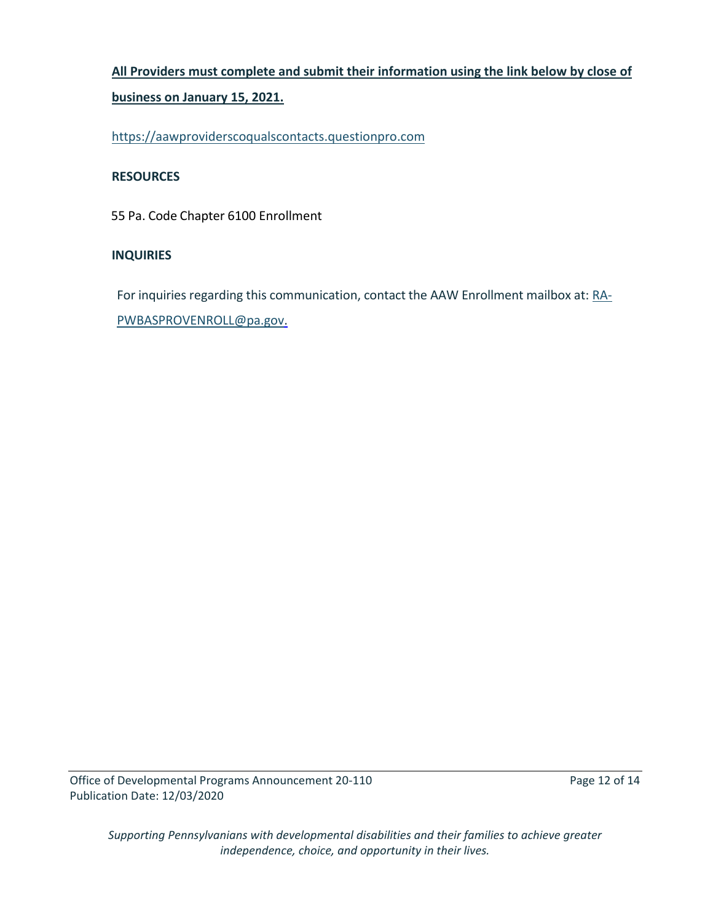# **All Providers must complete and submit their information using the link below by close of**

#### **business on January 15, 2021.**

[https://aawproviderscoqualscontacts.questionpro.com](https://aawproviderscoqualscontacts.questionpro.com/)

#### **RESOURCES**

55 Pa. Code Chapter 6100 Enrollment

#### **INQUIRIES**

For inquiries regarding this communication, contact the AAW Enrollment mailbox at: [RA-](mailto:RA-PWBASPROVENROLL@pa.gov)[PWBASPROVENROLL@pa.gov.](mailto:RA-PWBASPROVENROLL@pa.gov)

Office of Developmental Programs Announcement 20-110 Page 12 of 14 Publication Date: 12/03/2020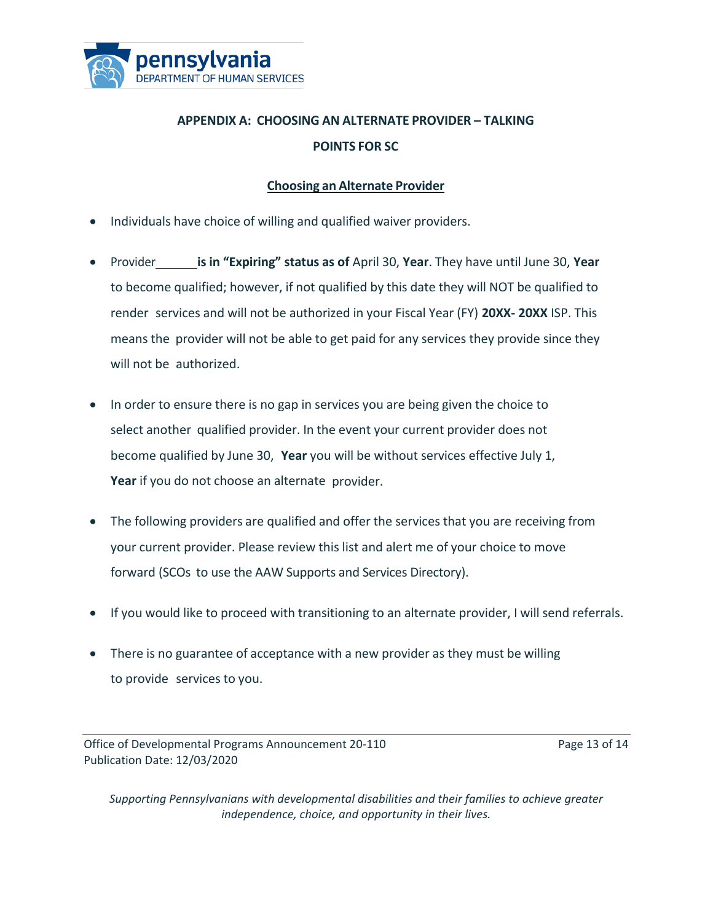

# **APPENDIX A: CHOOSING AN ALTERNATE PROVIDER – TALKING POINTS FOR SC**

# **Choosing an Alternate Provider**

- Individuals have choice of willing and qualified waiver providers.
- Provider **is in "Expiring" status as of** April 30, **Year**. They have until June 30, **Year** to become qualified; however, if not qualified by this date they will NOT be qualified to render services and will not be authorized in your Fiscal Year (FY) **20XX- 20XX** ISP. This means the provider will not be able to get paid for any services they provide since they will not be authorized.
- In order to ensure there is no gap in services you are being given the choice to select another qualified provider. In the event your current provider does not become qualified by June 30, **Year** you will be without services effective July 1, **Year** if you do not choose an alternate provider.
- The following providers are qualified and offer the services that you are receiving from your current provider. Please review this list and alert me of your choice to move forward (SCOs to use the AAW Supports and Services Directory).
- If you would like to proceed with transitioning to an alternate provider, I will send referrals.
- There is no guarantee of acceptance with a new provider as they must be willing to provide services to you.

Office of Developmental Programs Announcement 20-110 Page 13 of 14 Publication Date: 12/03/2020